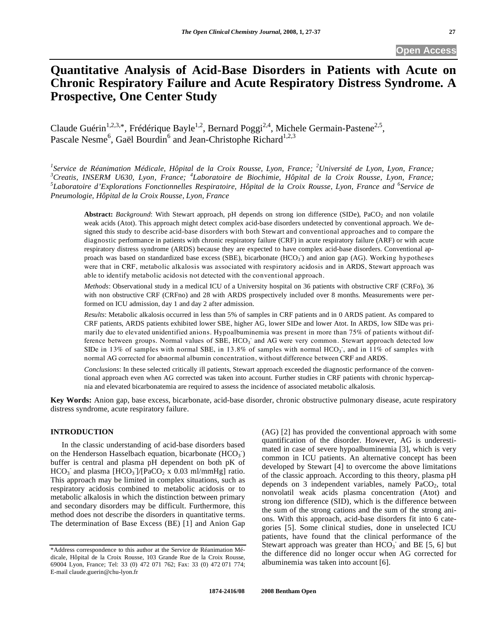# **Quantitative Analysis of Acid-Base Disorders in Patients with Acute on Chronic Respiratory Failure and Acute Respiratory Distress Syndrome. A Prospective, One Center Study**

Claude Guérin<sup>1,2,3,\*</sup>, Frédérique Bayle<sup>1,2</sup>, Bernard Poggi<sup>2,4</sup>, Michele Germain-Pastene<sup>2,5</sup>, Pascale Nesme<sup>6</sup>, Gaël Bourdin<sup>6</sup> and Jean-Christophe Richard<sup>1,2,3</sup>

<sup>1</sup> Service de Réanimation Médicale, Hôpital de la Croix Rousse, Lyon, France; <sup>2</sup>Université de Lyon, Lyon, France;<br><sup>3</sup>Creatie, INSERM, US20, Lyon, France; <sup>4</sup>Laborateire de Biochimie, Hêrital de la Croix Rousse, Lyon, Fra <sup>3</sup>Creatis, INSERM U630, Lyon, France; <sup>4</sup>Laboratoire de Biochimie, Hôpital de la Croix Rousse, Lyon, France; 5<br><sup>5</sup>Laboratoire d'Explorations Fonctionnelles Pespiratoire, Hôpital de la Croix Pousse, Lyon, France, and <sup>6</sup>Se *Laboratoire d'Explorations Fonctionnelles Respiratoire, Hôpital de la Croix Rousse, Lyon, France and <sup>6</sup> Service de Pneumologie, Hôpital de la Croix Rousse, Lyon, France* 

**Abstract:** *Background*: With Stewart approach, pH depends on strong ion difference (SIDe), PaCO<sub>2</sub> and non volatile weak acids (Atot). This approach might detect complex acid-base disorders undetected by conventional approach. We designed this study to describe acid-base disorders with both Stewart and conventional approaches and to compare the diagnostic performance in patients with chronic respiratory failure (CRF) in acute respiratory failure (ARF) or with acute respiratory distress syndrome (ARDS) because they are expected to have complex acid-base disorders. Conventional approach was based on standardized base excess (SBE), bicarbonate (HCO<sub>3</sub>) and anion gap (AG). Working hypotheses were that in CRF, metabolic alkalosis was associated with respiratory acidosis and in ARDS, Stewart approach was able to identify metabolic acidosis not detected with the conventional approach.

*Methods*: Observational study in a medical ICU of a University hospital on 36 patients with obstructive CRF (CRFo), 36 with non obstructive CRF (CRFno) and 28 with ARDS prospectively included over 8 months. Measurements were performed on ICU admission, day 1 and day 2 after admission.

*Results*: Metabolic alkalosis occurred in less than 5% of samples in CRF patients and in 0 ARDS patient. As compared to CRF patients, ARDS patients exhibited lower SBE, higher AG, lower SIDe and lower Atot. In ARDS, low SIDe was primarily due to elevated unidentified anions. Hypoalbuminemia was present in more than 75% of patients without difference between groups. Normal values of SBE, HCO<sub>3</sub> and AG were very common. Stewart approach detected low SIDe in 13% of samples with normal SBE, in 13.8% of samples with normal  $HCO<sub>3</sub>$ , and in 11% of samples with normal AG corrected for abnormal albumin concentration, without difference between CRF and ARDS.

*Conclusions*: In these selected critically ill patients, Stewart approach exceeded the diagnostic performance of the conventional approach even when AG corrected was taken into account. Further studies in CRF patients with chronic hypercapnia and elevated bicarbonatemia are required to assess the incidence of associated metabolic alkalosis.

**Key Words:** Anion gap, base excess, bicarbonate, acid-base disorder, chronic obstructive pulmonary disease, acute respiratory distress syndrome, acute respiratory failure.

# **INTRODUCTION**

 In the classic understanding of acid-base disorders based on the Henderson Hasselbach equation, bicarbonate  $(HCO<sub>3</sub>)$ buffer is central and plasma pH dependent on both pK of  $HCO_3$  and plasma [HCO<sub>3</sub>]/[PaCO<sub>2</sub> x 0.03 ml/mmHg] ratio. This approach may be limited in complex situations, such as respiratory acidosis combined to metabolic acidosis or to metabolic alkalosis in which the distinction between primary and secondary disorders may be difficult. Furthermore, this method does not describe the disorders in quantitative terms. The determination of Base Excess (BE) [1] and Anion Gap

(AG) [2] has provided the conventional approach with some quantification of the disorder. However, AG is underestimated in case of severe hypoalbuminemia [3], which is very common in ICU patients. An alternative concept has been developed by Stewart [4] to overcome the above limitations of the classic approach. According to this theory, plasma pH depends on 3 independent variables, namely  $PaCO<sub>2</sub>$ , total nonvolatil weak acids plasma concentration (Atot) and strong ion difference (SID), which is the difference between the sum of the strong cations and the sum of the strong anions. With this approach, acid-base disorders fit into 6 categories [5]. Some clinical studies, done in unselected ICU patients, have found that the clinical performance of the Stewart approach was greater than  $HCO_3^-$  and BE [5, 6] but the difference did no longer occur when AG corrected for albuminemia was taken into account [6].

<sup>\*</sup>Address correspondence to this author at the Service de Réanimation Médicale, Hôpital de la Croix Rousse, 103 Grande Rue de la Croix Rousse, 69004 Lyon, France; Tel: 33 (0) 472 071 762; Fax: 33 (0) 472 071 774; E-mail claude.guerin@chu-lyon.fr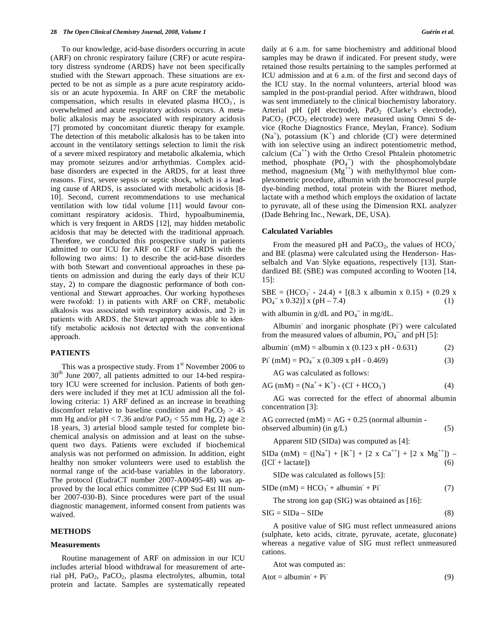To our knowledge, acid-base disorders occurring in acute (ARF) on chronic respiratory failure (CRF) or acute respiratory distress syndrome (ARDS) have not been specifically studied with the Stewart approach. These situations are expected to be not as simple as a pure acute respiratory acidosis or an acute hypoxemia. In ARF on CRF the metabolic compensation, which results in elevated plasma  $HCO<sub>3</sub>$ , is overwhelmed and acute respiratory acidosis occurs. A metabolic alkalosis may be associated with respiratory acidosis [7] promoted by concomitant diuretic therapy for example. The detection of this metabolic alkalosis has to be taken into account in the ventilatory settings selection to limit the risk of a severe mixed respiratory and metabolic alkalemia, which may promote seizures and/or arrhythmias. Complex acidbase disorders are expected in the ARDS, for at least three reasons. First, severe sepsis or septic shock, which is a leading cause of ARDS, is associated with metabolic acidosis [8- 10]. Second, current recommendations to use mechanical ventilation with low tidal volume [11] would favour concomittant respiratory acidosis. Third, hypoalbuminemia, which is very frequent in ARDS [12], may hidden metabolic acidosis that may be detected with the traditional approach. Therefore, we conducted this prospective study in patients admitted to our ICU for ARF on CRF or ARDS with the following two aims: 1) to describe the acid-base disorders with both Stewart and conventional approaches in these patients on admission and during the early days of their ICU stay, 2) to compare the diagnostic performance of both conventional and Stewart approaches. Our working hypotheses were twofold: 1) in patients with ARF on CRF, metabolic alkalosis was associated with respiratory acidosis, and 2) in patients with ARDS, the Stewart approach was able to identify metabolic acidosis not detected with the conventional approach.

## **PATIENTS**

This was a prospective study. From  $1<sup>st</sup>$  November 2006 to  $30<sup>th</sup>$  June  $2007$ , all patients admitted to our 14-bed respiratory ICU were screened for inclusion. Patients of both genders were included if they met at ICU admission all the following criteria: 1) ARF defined as an increase in breathing discomfort relative to baseline condition and  $PaCO<sub>2</sub> > 45$ mm Hg and/or pH < 7.36 and/or PaO<sub>2</sub> < 55 mm Hg, 2) age  $\ge$ 18 years, 3) arterial blood sample tested for complete biochemical analysis on admission and at least on the subsequent two days. Patients were excluded if biochemical analysis was not performed on admission. In addition, eight healthy non smoker volunteers were used to establish the normal range of the acid-base variables in the laboratory. The protocol (EudraCT number 2007-A00495-48) was approved by the local ethics committee (CPP Sud Est III number 2007-030-B). Since procedures were part of the usual diagnostic management, informed consent from patients was waived.

## **METHODS**

#### **Measurements**

 Routine management of ARF on admission in our ICU includes arterial blood withdrawal for measurement of arterial pH, PaO2, PaCO2, plasma electrolytes, albumin, total protein and lactate. Samples are systematically repeated daily at 6 a.m. for same biochemistry and additional blood samples may be drawn if indicated. For present study, were retained those results pertaining to the samples performed at ICU admission and at 6 a.m. of the first and second days of the ICU stay. In the normal volunteers, arterial blood was sampled in the post-prandial period. After withdrawn, blood was sent immediately to the clinical biochemistry laboratory. Arterial pH (pH electrode),  $PaO<sub>2</sub>$  (Clarke's electrode), PaCO<sub>2</sub> (PCO<sub>2</sub> electrode) were measured using Omni S device (Roche Diagnostics France, Meylan, France). Sodium  $(Na^+)$ , potassium  $(K^+)$  and chloride  $(CI)$  were determined with ion selective using an indirect potentiometric method, calcium  $(Ca^{++})$  with the Ortho Cresol Phtalein photometric method, phosphate  $(PO<sub>4</sub>^-)$  with the phosphomolybdate method, magnesium  $(Mg^{++})$  with methylthymol blue complexometric procedure, albumin with the bromocresol purple dye-binding method, total protein with the Biuret method, lactate with a method which employs the oxidation of lactate to pyruvate, all of these using the Dimension RXL analyzer (Dade Behring Inc., Newark, DE, USA).

#### **Calculated Variables**

From the measured pH and  $PaCO<sub>2</sub>$ , the values of  $HCO<sub>3</sub>$ and BE (plasma) were calculated using the Henderson- Hasselbalch and Van Slyke equations, respectively [13]. Standardized BE (SBE) was computed according to Wooten [14, 15]:

 $SBE = (HCO<sub>3</sub><sup>-</sup> - 24.4) + [(8.3 x albumin x 0.15) + (0.29 x$  $PQ_4$ <sup>-</sup> x 0.32)] x (pH – 7.4) (1)

with albumin in  $g/dL$  and  $PO<sub>4</sub><sup>-</sup>$  in mg/dL.

Albumin<sup>-</sup> and inorganic phosphate (Pi<sup>-</sup>) were calculated from the measured values of albumin,  $\overrightarrow{PQ_4}$  and pH [5]:

albumin<sup>-</sup> (mM) = albumin x (0.123 x pH - 0.631) (2)

 $\text{Pi}^-(\text{mM}) = \text{PO}_4^-\text{x}$  (0.309 x pH - 0.469) (3)

AG was calculated as follows:

$$
AG (mM) = (Na^{+} + K^{+}) - (CI + HCO3)
$$
 (4)

 AG was corrected for the effect of abnormal albumin concentration [3]:

AG corrected  $(mM) = AG + 0.25$  (normal albumin observed albumin) (in  $g/L$ ) (5)

Apparent SID (SIDa) was computed as [4]:

SIDa (mM) =  $([Na<sup>+</sup>] + [K<sup>+</sup>] + [2 \times Ca<sup>++</sup>] + [2 \times Mg<sup>++</sup>]) (\text{[Cl]} + \text{lactate})$  (6)

SIDe was calculated as follows [5]:

$$
SIDe (mM) = HCO3- + albumin- + Pi-
$$
 (7)

The strong ion gap (SIG) was obtained as [16]:

$$
SIG = SIDa - SIDe \tag{8}
$$

 A positive value of SIG must reflect unmeasured anions (sulphate, keto acids, citrate, pyruvate, acetate, gluconate) whereas a negative value of SIG must reflect unmeasured cations.

Atot was computed as:

$$
Atot = albumin + Pi
$$
 (9)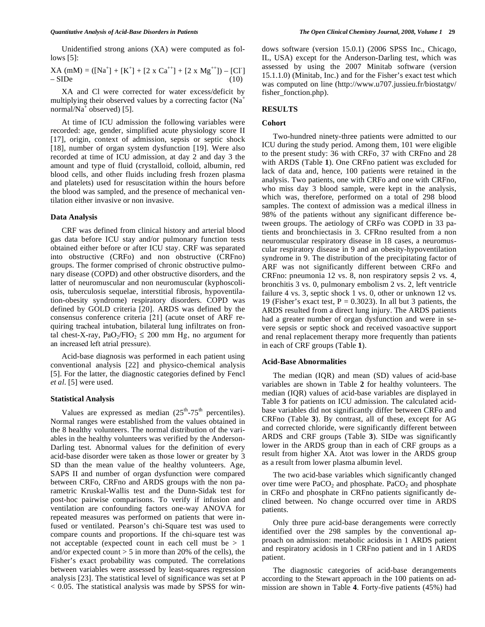Unidentified strong anions (XA) were computed as follows [5]:

XA (mM) = ([Na+ ] + [K<sup>+</sup> ] + [2 x Ca++] + [2 x Mg++]) – [Cl- ] – SIDe (10)

 XA and Cl were corrected for water excess/deficit by multiplying their observed values by a correcting factor  $(Na^+$ normal/ $Na^{\dagger}$  observed) [5].

 At time of ICU admission the following variables were recorded: age, gender, simplified acute physiology score II [17], origin, context of admission, sepsis or septic shock [18], number of organ system dysfunction [19]. Were also recorded at time of ICU admission, at day 2 and day 3 the amount and type of fluid (crystalloid, colloid, albumin, red blood cells, and other fluids including fresh frozen plasma and platelets) used for resuscitation within the hours before the blood was sampled, and the presence of mechanical ventilation either invasive or non invasive.

#### **Data Analysis**

 CRF was defined from clinical history and arterial blood gas data before ICU stay and/or pulmonary function tests obtained either before or after ICU stay. CRF was separated into obstructive (CRFo) and non obstructive (CRFno) groups. The former comprised of chronic obstructive pulmonary disease (COPD) and other obstructive disorders, and the latter of neuromuscular and non neuromuscular (kyphoscoliosis, tuberculosis sequelae, interstitial fibrosis, hypoventilation-obesity syndrome) respiratory disorders. COPD was defined by GOLD criteria [20]. ARDS was defined by the consensus conference criteria [21] (acute onset of ARF requiring tracheal intubation, bilateral lung infiltrates on frontal chest-X-ray, PaO<sub>2</sub>/FIO<sub>2</sub>  $\leq$  200 mm Hg, no argument for an increased left atrial pressure).

 Acid-base diagnosis was performed in each patient using conventional analysis [22] and physico-chemical analysis [5]. For the latter, the diagnostic categories defined by Fencl *et al*. [5] were used.

#### **Statistical Analysis**

Values are expressed as median  $(25<sup>th</sup>-75<sup>th</sup>$  percentiles). Normal ranges were established from the values obtained in the 8 healthy volunteers. The normal distribution of the variables in the healthy volunteers was verified by the Anderson-Darling test. Abnormal values for the definition of every acid-base disorder were taken as those lower or greater by 3 SD than the mean value of the healthy volunteers. Age, SAPS II and number of organ dysfunction were compared between CRFo, CRFno and ARDS groups with the non parametric Kruskal-Wallis test and the Dunn-Sidak test for post-hoc pairwise comparisons. To verify if infusion and ventilation are confounding factors one-way ANOVA for repeated measures was performed on patients that were infused or ventilated. Pearson's chi-Square test was used to compare counts and proportions. If the chi-square test was not acceptable (expected count in each cell must be  $> 1$ ) and/or expected count  $> 5$  in more than 20% of the cells), the Fisher's exact probability was computed. The correlations between variables were assessed by least-squares regression analysis [23]. The statistical level of significance was set at P  $< 0.05$ . The statistical analysis was made by SPSS for windows software (version 15.0.1) (2006 SPSS Inc., Chicago, IL, USA) except for the Anderson-Darling test, which was assessed by using the 2007 Minitab software (version 15.1.1.0) (Minitab, Inc.) and for the Fisher's exact test which was computed on line (http://www.u707.jussieu.fr/biostatgv/ fisher\_fonction.php).

#### **RESULTS**

#### **Cohort**

 Two-hundred ninety-three patients were admitted to our ICU during the study period. Among them, 101 were eligible to the present study: 36 with CRFo, 37 with CRFno and 28 with ARDS (Table **1**). One CRFno patient was excluded for lack of data and, hence, 100 patients were retained in the analysis. Two patients, one with CRFo and one with CRFno, who miss day 3 blood sample, were kept in the analysis, which was, therefore, performed on a total of 298 blood samples. The context of admission was a medical illness in 98% of the patients without any significant difference between groups. The aetiology of CRFo was COPD in 33 patients and bronchiectasis in 3. CFRno resulted from a non neuromuscular respiratory disease in 18 cases, a neuromuscular respiratory disease in 9 and an obesity-hypoventilation syndrome in 9. The distribution of the precipitating factor of ARF was not significantly different between CRFo and CRFno: pneumonia 12 vs. 8, non respiratory sepsis 2 vs. 4, bronchitis 3 vs. 0, pulmonary embolism 2 vs. 2, left ventricle failure 4 vs. 3, septic shock 1 vs. 0, other or unknown 12 vs. 19 (Fisher's exact test,  $P = 0.3023$ ). In all but 3 patients, the ARDS resulted from a direct lung injury. The ARDS patients had a greater number of organ dysfunction and were in severe sepsis or septic shock and received vasoactive support and renal replacement therapy more frequently than patients in each of CRF groups (Table **1**).

#### **Acid-Base Abnormalities**

 The median (IQR) and mean (SD) values of acid-base variables are shown in Table **2** for healthy volunteers. The median (IQR) values of acid-base variables are displayed in Table **3** for patients on ICU admission. The calculated acidbase variables did not significantly differ between CRFo and CRFno (Table **3**). By contrast, all of these, except for AG and corrected chloride, were significantly different between ARDS and CRF groups (Table **3**). SIDe was significantly lower in the ARDS group than in each of CRF groups as a result from higher XA. Atot was lower in the ARDS group as a result from lower plasma albumin level.

 The two acid-base variables which significantly changed over time were  $PaCO<sub>2</sub>$  and phosphate.  $PaCO<sub>2</sub>$  and phosphate in CRFo and phosphate in CRFno patients significantly declined between. No change occurred over time in ARDS patients.

 Only three pure acid-base derangements were correctly identified over the 298 samples by the conventional approach on admission: metabolic acidosis in 1 ARDS patient and respiratory acidosis in 1 CRFno patient and in 1 ARDS patient.

 The diagnostic categories of acid-base derangements according to the Stewart approach in the 100 patients on admission are shown in Table **4**. Forty-five patients (45%) had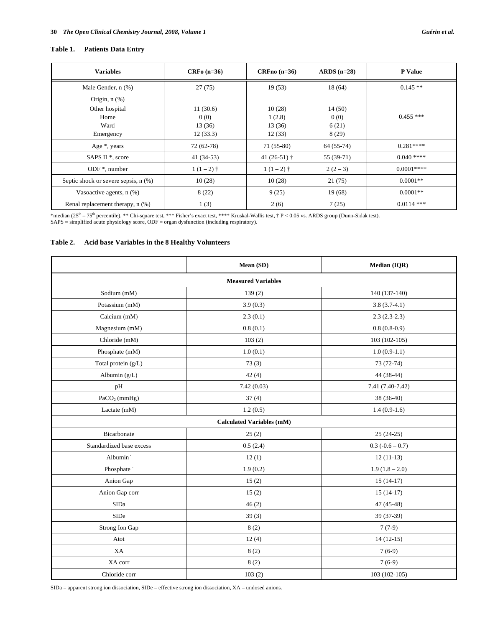# **Table 1. Patients Data Entry**

| <b>Variables</b>                          | $CRF0$ (n=36) | $CRFno(n=36)$  | $ARDS(n=28)$ | <b>P</b> Value |
|-------------------------------------------|---------------|----------------|--------------|----------------|
| Male Gender, n (%)                        | 27(75)        | 19(53)         | 18(64)       | $0.145**$      |
| Origin, $n$ $(\%)$                        |               |                |              |                |
| Other hospital                            | 11(30.6)      | 10(28)         | 14(50)       |                |
| Home                                      | 0(0)          | 1(2.8)         | 0(0)         | $0.455***$     |
| Ward                                      | 13(36)        | 13 (36)        | 6(21)        |                |
| Emergency                                 | 12(33.3)      | 12(33)         | 8(29)        |                |
| Age $*$ , years                           | 72 (62-78)    | $71(55-80)$    | $64(55-74)$  | $0.281***$     |
| SAPS II <sup>*</sup> , score              | $41(34-53)$   | 41 $(26-51)$ † | 55 (39-71)   | $0.040$ ****   |
| ODF $*$ , number                          | $1(1-2)$ †    | $1(1-2)$ †     | $2(2-3)$     | $0.0001***$    |
| Septic shock or severe sepsis, $n$ $(\%)$ | 10(28)        | 10(28)         | 21(75)       | $0.0001**$     |
| Vasoactive agents, $n$ $(\%)$             | 8(22)         | 9(25)          | 19(68)       | $0.0001**$     |
| Renal replacement therapy, n (%)          | 1(3)          | 2(6)           | 7(25)        | $0.0114$ ***   |

\*median (25<sup>th</sup> – 75<sup>th</sup> percentile), \*\* Chi-square test, \*\*\* Fisher's exact test, \*\*\*\* Kruskal-Wallis test, † P < 0.05 vs. ARDS group (Dunn-Sidak test).<br>SAPS = simplified acute physiology score, ODF = organ dysfunction (i

# **Table 2. Acid base Variables in the 8 Healthy Volunteers**

|                           | Mean (SD)                        | Median (IQR)       |  |  |
|---------------------------|----------------------------------|--------------------|--|--|
| <b>Measured Variables</b> |                                  |                    |  |  |
| Sodium (mM)               | 139(2)                           | 140 (137-140)      |  |  |
| Potassium (mM)            | 3.9(0.3)                         | $3.8(3.7-4.1)$     |  |  |
| Calcium (mM)              | 2.3(0.1)                         | $2.3(2.3-2.3)$     |  |  |
| Magnesium (mM)            | 0.8(0.1)                         | $0.8(0.8-0.9)$     |  |  |
| Chloride (mM)             | 103(2)                           | 103 (102-105)      |  |  |
| Phosphate (mM)            | 1.0(0.1)                         | $1.0(0.9-1.1)$     |  |  |
| Total protein (g/L)       | 73(3)                            | $73(72-74)$        |  |  |
| Albumin (g/L)             | 42(4)                            | 44 (38-44)         |  |  |
| pH                        | 7.42(0.03)                       | 7.41 (7.40-7.42)   |  |  |
| PaCO <sub>2</sub> (mmHg)  | 37(4)                            | 38 (36-40)         |  |  |
| Lactate (mM)              | 1.2(0.5)                         | $1.4(0.9-1.6)$     |  |  |
|                           | <b>Calculated Variables (mM)</b> |                    |  |  |
| Bicarbonate               | 25(2)                            | $25(24-25)$        |  |  |
| Standardized base excess  | 0.5(2.4)                         | $0.3 (-0.6 - 0.7)$ |  |  |
| Albumin <sup>-</sup>      | 12(1)                            | $12(11-13)$        |  |  |
| Phosphate <sup>-</sup>    | 1.9(0.2)                         | $1.9(1.8 - 2.0)$   |  |  |
| Anion Gap                 | 15(2)                            | $15(14-17)$        |  |  |
| Anion Gap corr            | 15(2)                            | $15(14-17)$        |  |  |
| SIDa                      | 46(2)                            | 47 (45-48)         |  |  |
| SIDe                      | 39(3)                            | 39 (37-39)         |  |  |
| Strong Ion Gap            | 8(2)                             | $7(7-9)$           |  |  |
| Atot                      | 12(4)                            | $14(12-15)$        |  |  |
| XA                        | 8(2)                             | $7(6-9)$           |  |  |
| XA corr                   | 8(2)                             | $7(6-9)$           |  |  |
| Chloride corr             | 103(2)                           | $103(102-105)$     |  |  |

 $\text{SIDa} = \text{apparent strong ion dissociation}, \text{SIDE} = \text{effective strong ion dissociation}, \text{XA} = \text{undosed anions}.$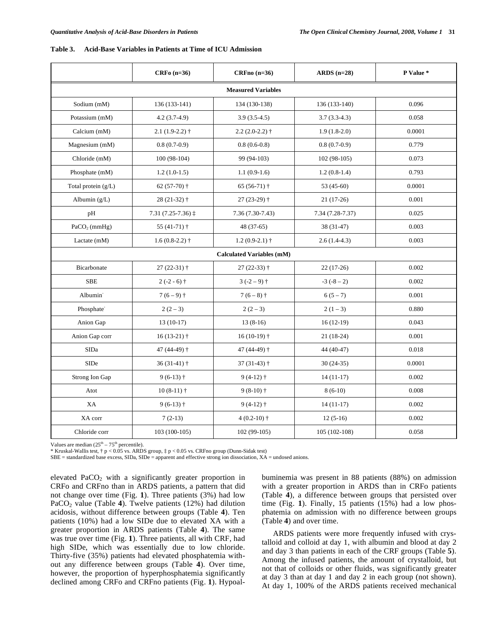#### **Table 3. Acid-Base Variables in Patients at Time of ICU Admission**

|                        | $CRFo$ (n=36)                | $CRFno(n=36)$                    | $ARDS$ (n=28)    | P Value * |  |
|------------------------|------------------------------|----------------------------------|------------------|-----------|--|
|                        | <b>Measured Variables</b>    |                                  |                  |           |  |
| Sodium (mM)            | $136(133-141)$               | 134 (130-138)                    | 136 (133-140)    | 0.096     |  |
| Potassium (mM)         | $4.2(3.7-4.9)$               | $3.9(3.5-4.5)$                   | $3.7(3.3-4.3)$   | 0.058     |  |
| Calcium (mM)           | $2.1(1.9-2.2)$ †             | $2.2(2.0-2.2)$ †                 | $1.9(1.8-2.0)$   | 0.0001    |  |
| Magnesium (mM)         | $0.8(0.7-0.9)$               | $0.8(0.6-0.8)$                   | $0.8(0.7-0.9)$   | 0.779     |  |
| Chloride (mM)          | $100(98-104)$                | 99 (94-103)                      | $102(98-105)$    | 0.073     |  |
| Phosphate (mM)         | $1.2(1.0-1.5)$               | $1.1(0.9-1.6)$                   | $1.2(0.8-1.4)$   | 0.793     |  |
| Total protein (g/L)    | 62 $(57-70)$ †               | $65(56-71)$ †                    | 53 (45-60)       | 0.0001    |  |
| Albumin $(g/L)$        | $28(21-32)$ †                | $27(23-29)$ †                    | $21(17-26)$      | 0.001     |  |
| pH                     | $7.31(7.25-7.36)$ $\ddagger$ | $7.36(7.30-7.43)$                | 7.34 (7.28-7.37) | 0.025     |  |
| $PaCO2$ (mmHg)         | 55 (41-71) $\dagger$         | 48 (37-65)                       | 38 (31-47)       | 0.003     |  |
| Lactate (mM)           | $1.6(0.8-2.2)$ †             | $1.2(0.9-2.1)$ †                 | $2.6(1.4-4.3)$   | 0.003     |  |
|                        |                              | <b>Calculated Variables (mM)</b> |                  |           |  |
| Bicarbonate            | 27 (22-31) †                 | $27(22-33)$ †                    | $22(17-26)$      | 0.002     |  |
| <b>SBE</b>             | $2(-2-6)$ †                  | $3(-2-9)$ †                      | $-3(-8-2)$       | 0.002     |  |
| Albumin <sup>-</sup>   | $7(6-9)$ †                   | $7(6-8)$ †                       | $6(5-7)$         | 0.001     |  |
| Phosphate <sup>-</sup> | $2(2-3)$                     | $2(2-3)$                         | $2(1-3)$         | 0.880     |  |
| Anion Gap              | $13(10-17)$                  | $13(8-16)$                       | $16(12-19)$      | 0.043     |  |
| Anion Gap corr         | $16(13-21)$ †                | $16(10-19)$ †                    | $21(18-24)$      | 0.001     |  |
| <b>SIDa</b>            | 47 (44-49) †                 | 47 (44-49) †                     | 44 (40-47)       | 0.018     |  |
| <b>SIDe</b>            | $36(31-41)$ †                | $37(31-43)$ †                    | $30(24-35)$      | 0.0001    |  |
| Strong Ion Gap         | $9(6-13)$ †                  | $9(4-12)$ †                      | $14(11-17)$      | 0.002     |  |
| Atot                   | $10(8-11)$ †                 | $9(8-10)$ †                      | $8(6-10)$        | 0.008     |  |
| XA                     | $9(6-13)$ †                  | $9(4-12)$ †                      | $14(11-17)$      | 0.002     |  |
| XA corr                | $7(2-13)$                    | $4(0.2-10)$ †                    | $12(5-16)$       | 0.002     |  |
| Chloride corr          | 103 (100-105)                | 102 (99-105)                     | $105(102-108)$   | 0.058     |  |

Values are median  $(25<sup>th</sup> - 75<sup>th</sup>$  percentile).

\* Kruskal-Wallis test, † p < 0.05 vs. ARDS group, ‡ p < 0.05 vs. CRFno group (Dunn-Sidak test)

SBE = standardized base excess, SIDa, SIDe = apparent and effective strong ion dissociation, XA = undosed anions.

elevated  $PaCO<sub>2</sub>$  with a significantly greater proportion in CRFo and CRFno than in ARDS patients, a pattern that did not change over time (Fig. **1**). Three patients (3%) had low PaCO<sub>2</sub> value (Table 4). Twelve patients (12%) had dilution acidosis, without difference between groups (Table **4**). Ten patients (10%) had a low SIDe due to elevated XA with a greater proportion in ARDS patients (Table **4**). The same was true over time (Fig. **1**). Three patients, all with CRF, had high SIDe, which was essentially due to low chloride. Thirty-five (35%) patients had elevated phosphatemia without any difference between groups (Table **4**). Over time, however, the proportion of hyperphosphatemia significantly declined among CRFo and CRFno patients (Fig. **1**). Hypoalbuminemia was present in 88 patients (88%) on admission with a greater proportion in ARDS than in CRFo patients (Table **4**), a difference between groups that persisted over time (Fig. **1**). Finally, 15 patients (15%) had a low phosphatemia on admission with no difference between groups (Table **4**) and over time.

 ARDS patients were more frequently infused with crystalloid and colloid at day 1, with albumin and blood at day 2 and day 3 than patients in each of the CRF groups (Table **5**). Among the infused patients, the amount of crystalloid, but not that of colloids or other fluids, was significantly greater at day 3 than at day 1 and day 2 in each group (not shown). At day 1, 100% of the ARDS patients received mechanical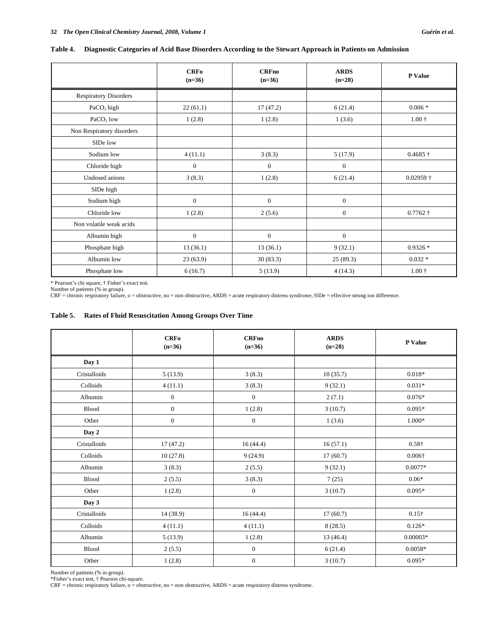|  | Table 4. Diagnostic Categories of Acid Base Disorders According to the Stewart Approach in Patients on Admission |
|--|------------------------------------------------------------------------------------------------------------------|
|  |                                                                                                                  |

|                              | <b>CRFo</b><br>$(n=36)$ | <b>CRFno</b><br>$(n=36)$ | <b>ARDS</b><br>$(n=28)$ | P Value                 |
|------------------------------|-------------------------|--------------------------|-------------------------|-------------------------|
| <b>Respiratory Disorders</b> |                         |                          |                         |                         |
| PaCO <sub>2</sub> high       | 22(61.1)                | 17(47.2)                 | 6(21.4)                 | $0.006*$                |
| PaCO <sub>2</sub> low        | 1(2.8)                  | 1(2.8)                   | 1(3.6)                  | $1.00 \;{\rm \ddagger}$ |
| Non Respiratory disorders    |                         |                          |                         |                         |
| SIDe low                     |                         |                          |                         |                         |
| Sodium low                   | 4(11.1)                 | 3(8.3)                   | 5(17.9)                 | $0.4685\dagger$         |
| Chloride high                | $\mathbf{0}$            | $\mathbf{0}$             | $\mathbf{0}$            |                         |
| Undosed anions               | 3(8.3)                  | 1(2.8)                   | 6(21.4)                 | $0.02959 +$             |
| SIDe high                    |                         |                          |                         |                         |
| Sodium high                  | $\boldsymbol{0}$        | $\mathbf{0}$             | $\mathbf{0}$            |                         |
| Chloride low                 | 1(2.8)                  | 2(5.6)                   | $\mathbf{0}$            | $0.7762\dagger$         |
| Non volatile weak acids      |                         |                          |                         |                         |
| Albumin high                 | $\mathbf{0}$            | $\boldsymbol{0}$         | $\mathbf{0}$            |                         |
| Phosphate high               | 13(36.1)                | 13(36.1)                 | 9(32.1)                 | $0.9326*$               |
| Albumin low                  | 23(63.9)                | 30(83.3)                 | 25(89.3)                | $0.032*$                |
| Phosphate low                | 6(16.7)                 | 5(13.9)                  | 4(14.3)                 | $1.00 +$                |

\* Pearson's chi square, † Fisher's exact test.<br>Number of patients (% in group).<br>CRF = chronic respiratory failure, o = obstructive, no = non obstructive, ARDS = acute respiratory distress syndrome, SIDe = effective strong

#### **Table 5. Rates of Fluid Resuscitation Among Groups Over Time**

|              | <b>CRFo</b><br>$(n=36)$ | <b>CRFno</b><br>$(n=36)$ | <b>ARDS</b><br>$(n=28)$ | P Value        |
|--------------|-------------------------|--------------------------|-------------------------|----------------|
| Day 1        |                         |                          |                         |                |
| Cristalloids | 5(13.9)                 | 3(8.3)                   | 10(35.7)                | $0.018*$       |
| Colloids     | 4(11.1)                 | 3(8.3)                   | 9(32.1)                 | $0.031*$       |
| Albumin      | $\boldsymbol{0}$        | $\mathbf{0}$             | 2(7.1)                  | $0.076*$       |
| Blood        | $\boldsymbol{0}$        | 1(2.8)                   | 3(10.7)                 | $0.095*$       |
| Other        | $\boldsymbol{0}$        | $\boldsymbol{0}$         | 1(3.6)                  | 1.000*         |
| Day 2        |                         |                          |                         |                |
| Cristalloids | 17(47.2)                | 16(44.4)                 | 16(57.1)                | $0.58\dagger$  |
| Colloids     | 10(27.8)                | 9(24.9)                  | 17(60.7)                | $0.006\dagger$ |
| Albumin      | 3(8.3)                  | 2(5.5)                   | 9(32.1)                 | $0.0077*$      |
| Blood        | 2(5.5)                  | 3(8.3)                   | 7(25)                   | $0.06*$        |
| Other        | 1(2.8)                  | $\boldsymbol{0}$         | 3(10.7)                 | $0.095*$       |
| Day 3        |                         |                          |                         |                |
| Cristalloids | 14 (38.9)               | 16(44.4)                 | 17(60.7)                | $0.15\dagger$  |
| Colloids     | 4(11.1)                 | 4(11.1)                  | 8(28.5)                 | $0.126*$       |
| Albumin      | 5(13.9)                 | 1(2.8)                   | 13(46.4)                | $0.00003*$     |
| Blood        | 2(5.5)                  | $\boldsymbol{0}$         | 6(21.4)                 | $0.0058*$      |
| Other        | 1(2.8)                  | $\boldsymbol{0}$         | 3(10.7)                 | $0.095*$       |

Number of patients (% in group). \*Fisher's exact test, † Pearson chi-square.

CRF = chronic respiratory failure, o = obstructive, no = non obstructive, ARDS = acute respiratory distress syndrome.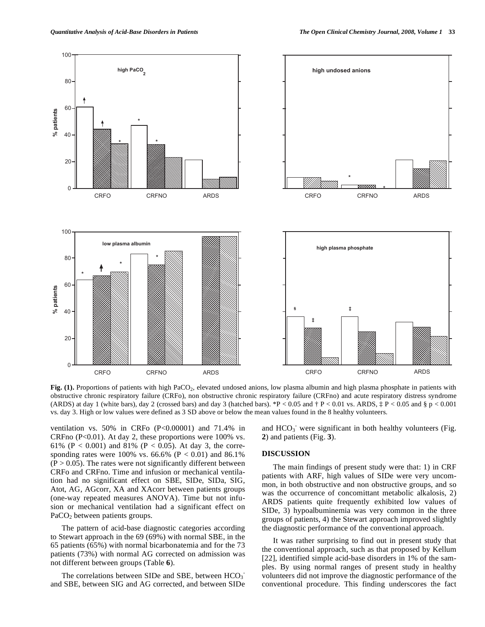

Fig. (1). Proportions of patients with high PaCO<sub>2</sub>, elevated undosed anions, low plasma albumin and high plasma phosphate in patients with obstructive chronic respiratory failure (CRFo), non obstructive chronic respiratory failure (CRFno) and acute respiratory distress syndrome (ARDS) at day 1 (white bars), day 2 (crossed bars) and day 3 (hatched bars). \*P < 0.05 and  $\dagger$  P < 0.01 vs. ARDS,  $\dagger$  P < 0.05 and  $\S$  p < 0.001 vs. day 3. High or low values were defined as 3 SD above or below the mean values found in the 8 healthy volunteers.

ventilation vs. 50% in CRFo (P<0.00001) and 71.4% in CRFno  $(P<0.01)$ . At day 2, these proportions were 100% vs. 61% (P < 0.001) and 81% (P < 0.05). At day 3, the corresponding rates were 100% vs. 66.6% ( $P < 0.01$ ) and 86.1%  $(P > 0.05)$ . The rates were not significantly different between CRFo and CRFno. Time and infusion or mechanical ventilation had no significant effect on SBE, SIDe, SIDa, SIG, Atot, AG, AGcorr, XA and XAcorr between patients groups (one-way repeated measures ANOVA). Time but not infusion or mechanical ventilation had a significant effect on PaCO<sub>2</sub> between patients groups.

 The pattern of acid-base diagnostic categories according to Stewart approach in the 69 (69%) with normal SBE, in the 65 patients (65%) with normal bicarbonatemia and for the 73 patients (73%) with normal AG corrected on admission was not different between groups (Table **6**).

The correlations between SIDe and SBE, between  $HCO<sub>3</sub>$ and SBE, between SIG and AG corrected, and between SIDe

and  $HCO<sub>3</sub>$  were significant in both healthy volunteers (Fig. **2**) and patients (Fig. **3**).

#### **DISCUSSION**

 The main findings of present study were that: 1) in CRF patients with ARF, high values of SIDe were very uncommon, in both obstructive and non obstructive groups, and so was the occurrence of concomittant metabolic alkalosis, 2) ARDS patients quite frequently exhibited low values of SIDe, 3) hypoalbuminemia was very common in the three groups of patients, 4) the Stewart approach improved slightly the diagnostic performance of the conventional approach.

 It was rather surprising to find out in present study that the conventional approach, such as that proposed by Kellum [22], identified simple acid-base disorders in 1% of the samples. By using normal ranges of present study in healthy volunteers did not improve the diagnostic performance of the conventional procedure. This finding underscores the fact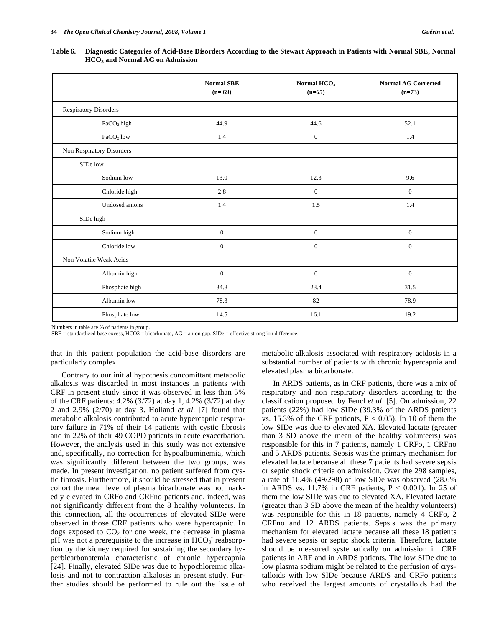**Table 6. Diagnostic Categories of Acid-Base Disorders According to the Stewart Approach in Patients with Normal SBE, Normal HCO3 and Normal AG on Admission** 

|                              | <b>Normal SBE</b><br>$(n=69)$ | Normal HCO <sub>3</sub><br>$(n=65)$ | <b>Normal AG Corrected</b><br>$(n=73)$ |
|------------------------------|-------------------------------|-------------------------------------|----------------------------------------|
| <b>Respiratory Disorders</b> |                               |                                     |                                        |
| PaCO <sub>2</sub> high       | 44.9                          | 44.6                                | 52.1                                   |
| PaCO <sub>2</sub> low        | 1.4                           | $\theta$                            | 1.4                                    |
| Non Respiratory Disorders    |                               |                                     |                                        |
| SIDe low                     |                               |                                     |                                        |
| Sodium low                   | 13.0                          | 12.3                                | 9.6                                    |
| Chloride high                | 2.8                           | $\mathbf{0}$                        | $\mathbf{0}$                           |
| Undosed anions               | 1.4                           | 1.5                                 | 1.4                                    |
| SIDe high                    |                               |                                     |                                        |
| Sodium high                  | $\boldsymbol{0}$              | $\boldsymbol{0}$                    | $\boldsymbol{0}$                       |
| Chloride low                 | $\mathbf{0}$                  | $\boldsymbol{0}$                    | $\boldsymbol{0}$                       |
| Non Volatile Weak Acids      |                               |                                     |                                        |
| Albumin high                 | $\mathbf{0}$                  | $\mathbf{0}$                        | $\mathbf{0}$                           |
| Phosphate high               | 34.8                          | 23.4                                | 31.5                                   |
| Albumin low                  | 78.3                          | 82                                  | 78.9                                   |
| Phosphate low                | 14.5                          | 16.1                                | 19.2                                   |

Numbers in table are % of patients in group.

SBE = standardized base excess, HCO3 = bicarbonate, AG = anion gap, SIDe = effective strong ion difference.

that in this patient population the acid-base disorders are particularly complex.

 Contrary to our initial hypothesis concomittant metabolic alkalosis was discarded in most instances in patients with CRF in present study since it was observed in less than 5% of the CRF patients: 4.2% (3/72) at day 1, 4.2% (3/72) at day 2 and 2.9% (2/70) at day 3. Holland *et al*. [7] found that metabolic alkalosis contributed to acute hypercapnic respiratory failure in 71% of their 14 patients with cystic fibrosis and in 22% of their 49 COPD patients in acute exacerbation. However, the analysis used in this study was not extensive and, specifically, no correction for hypoalbuminemia, which was significantly different between the two groups, was made. In present investigation, no patient suffered from cystic fibrosis. Furthermore, it should be stressed that in present cohort the mean level of plasma bicarbonate was not markedly elevated in CRFo and CRFno patients and, indeed, was not significantly different from the 8 healthy volunteers. In this connection, all the occurrences of elevated SIDe were observed in those CRF patients who were hypercapnic. In dogs exposed to  $CO<sub>2</sub>$  for one week, the decrease in plasma pH was not a prerequisite to the increase in  $HCO_3^-$  reabsorption by the kidney required for sustaining the secondary hyperbicarbonatemia characteristic of chronic hypercapnia [24]. Finally, elevated SIDe was due to hypochloremic alkalosis and not to contraction alkalosis in present study. Further studies should be performed to rule out the issue of metabolic alkalosis associated with respiratory acidosis in a substantial number of patients with chronic hypercapnia and elevated plasma bicarbonate.

 In ARDS patients, as in CRF patients, there was a mix of respiratory and non respiratory disorders according to the classification proposed by Fencl *et al*. [5]. On admission, 22 patients (22%) had low SIDe (39.3% of the ARDS patients vs. 15.3% of the CRF patients,  $P < 0.05$ ). In 10 of them the low SIDe was due to elevated XA. Elevated lactate (greater than 3 SD above the mean of the healthy volunteers) was responsible for this in 7 patients, namely 1 CRFo, 1 CRFno and 5 ARDS patients. Sepsis was the primary mechanism for elevated lactate because all these 7 patients had severe sepsis or septic shock criteria on admission. Over the 298 samples, a rate of 16.4% (49/298) of low SIDe was observed (28.6% in ARDS vs. 11.7% in CRF patients,  $P < 0.001$ ). In 25 of them the low SIDe was due to elevated XA. Elevated lactate (greater than 3 SD above the mean of the healthy volunteers) was responsible for this in 18 patients, namely 4 CRFo, 2 CRFno and 12 ARDS patients. Sepsis was the primary mechanism for elevated lactate because all these 18 patients had severe sepsis or septic shock criteria. Therefore, lactate should be measured systematically on admission in CRF patients in ARF and in ARDS patients. The low SIDe due to low plasma sodium might be related to the perfusion of crystalloids with low SIDe because ARDS and CRFo patients who received the largest amounts of crystalloids had the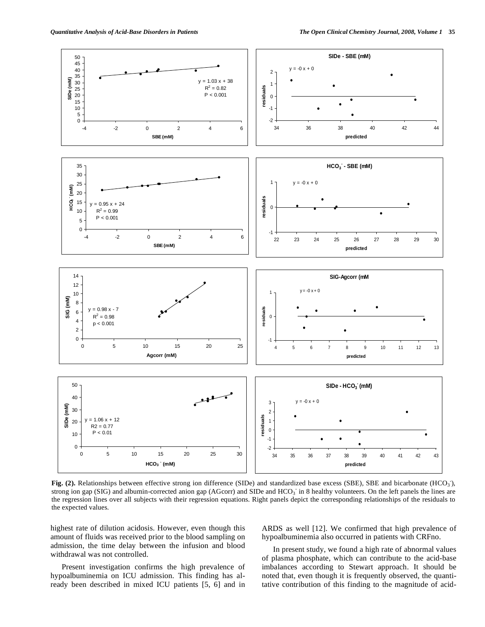

Fig. (2). Relationships between effective strong ion difference (SIDe) and standardized base excess (SBE), SBE and bicarbonate (HCO<sub>3</sub>), strong ion gap (SIG) and albumin-corrected anion gap (AGcorr) and SIDe and  $HCO<sub>3</sub>$  in 8 healthy volunteers. On the left panels the lines are the regression lines over all subjects with their regression equations. Right panels depict the corresponding relationships of the residuals to the expected values.

highest rate of dilution acidosis. However, even though this amount of fluids was received prior to the blood sampling on admission, the time delay between the infusion and blood withdrawal was not controlled.

 Present investigation confirms the high prevalence of hypoalbuminemia on ICU admission. This finding has already been described in mixed ICU patients [5, 6] and in

ARDS as well [12]. We confirmed that high prevalence of hypoalbuminemia also occurred in patients with CRFno.

 In present study, we found a high rate of abnormal values of plasma phosphate, which can contribute to the acid-base imbalances according to Stewart approach. It should be noted that, even though it is frequently observed, the quantitative contribution of this finding to the magnitude of acid-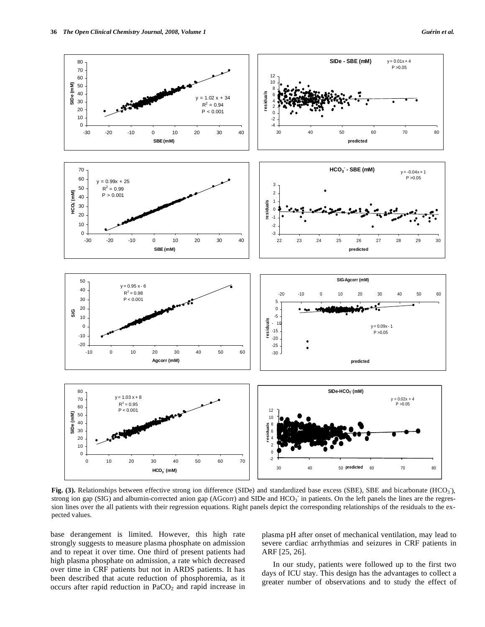

Fig. (3). Relationships between effective strong ion difference (SIDe) and standardized base excess (SBE), SBE and bicarbonate (HCO<sub>3</sub>), strong ion gap (SIG) and albumin-corrected anion gap (AGcorr) and SIDe and  $HCO<sub>3</sub>$  in patients. On the left panels the lines are the regression lines over the all patients with their regression equations. Right panels depict the corresponding relationships of the residuals to the expected values.

base derangement is limited. However, this high rate strongly suggests to measure plasma phosphate on admission and to repeat it over time. One third of present patients had high plasma phosphate on admission, a rate which decreased over time in CRF patients but not in ARDS patients. It has been described that acute reduction of phosphoremia, as it occurs after rapid reduction in  $PaCO<sub>2</sub>$  and rapid increase in plasma pH after onset of mechanical ventilation, may lead to severe cardiac arrhythmias and seizures in CRF patients in ARF [25, 26].

 In our study, patients were followed up to the first two days of ICU stay. This design has the advantages to collect a greater number of observations and to study the effect of